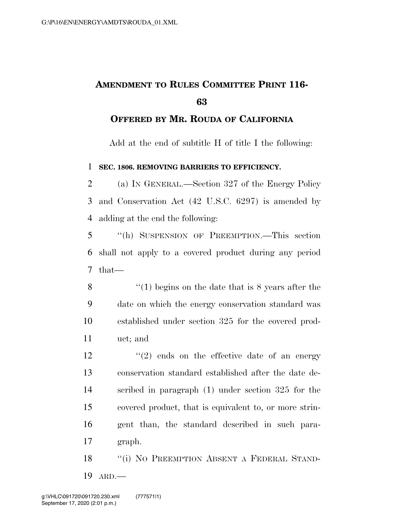## **AMENDMENT TO RULES COMMITTEE PRINT 116-**

## **OFFERED BY MR. ROUDA OF CALIFORNIA**

Add at the end of subtitle H of title I the following:

## **SEC. 1806. REMOVING BARRIERS TO EFFICIENCY.**

 (a) IN GENERAL.—Section 327 of the Energy Policy and Conservation Act (42 U.S.C. 6297) is amended by adding at the end the following:

 ''(h) SUSPENSION OF PREEMPTION.—This section shall not apply to a covered product during any period that—

 ''(1) begins on the date that is 8 years after the date on which the energy conservation standard was established under section 325 for the covered prod-uct; and

 $\frac{12}{2}$  ''(2) ends on the effective date of an energy conservation standard established after the date de- scribed in paragraph (1) under section 325 for the covered product, that is equivalent to, or more strin- gent than, the standard described in such para-graph.

18 "(i) NO PREEMPTION ABSENT A FEDERAL STAND-ARD.—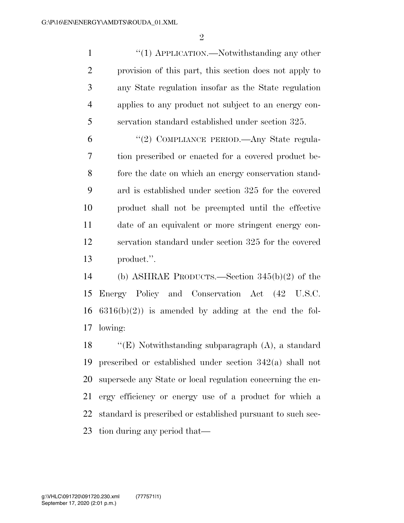1 ''(1) APPLICATION.—Notwithstanding any other provision of this part, this section does not apply to any State regulation insofar as the State regulation applies to any product not subject to an energy con-servation standard established under section 325.

6 "(2) COMPLIANCE PERIOD.—Any State regula- tion prescribed or enacted for a covered product be- fore the date on which an energy conservation stand- ard is established under section 325 for the covered product shall not be preempted until the effective date of an equivalent or more stringent energy con- servation standard under section 325 for the covered product.''.

 (b) ASHRAE PRODUCTS.—Section 345(b)(2) of the Energy Policy and Conservation Act (42 U.S.C.  $6316(b)(2)$  is amended by adding at the end the fol-lowing:

 ''(E) Notwithstanding subparagraph (A), a standard prescribed or established under section 342(a) shall not supersede any State or local regulation concerning the en- ergy efficiency or energy use of a product for which a standard is prescribed or established pursuant to such sec-tion during any period that—